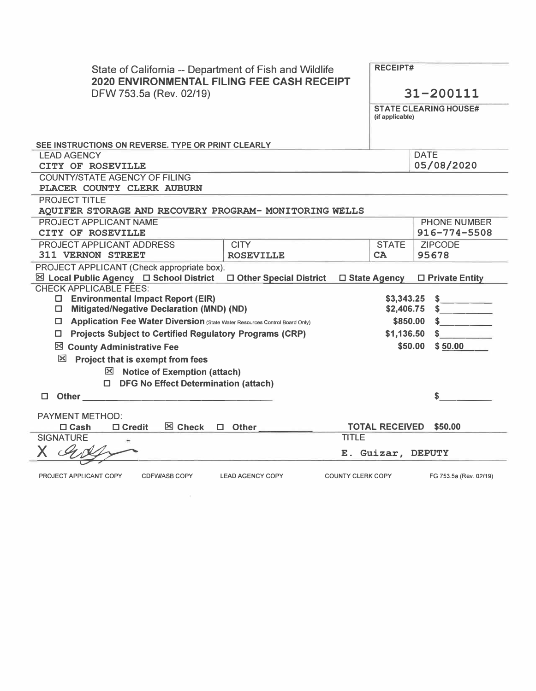| State of California -- Department of Fish and Wildlife<br><b>2020 ENVIRONMENTAL FILING FEE CASH RECEIPT</b><br>DFW 753.5a (Rev. 02/19)                                                                           | <b>RECEIPT#</b><br>31-200111<br><b>STATE CLEARING HOUSE#</b><br>(if applicable) |                          |                                           |
|------------------------------------------------------------------------------------------------------------------------------------------------------------------------------------------------------------------|---------------------------------------------------------------------------------|--------------------------|-------------------------------------------|
| SEE INSTRUCTIONS ON REVERSE. TYPE OR PRINT CLEARLY                                                                                                                                                               |                                                                                 |                          |                                           |
| <b>LEAD AGENCY</b><br>CITY OF ROSEVILLE                                                                                                                                                                          | <b>DATE</b><br>05/08/2020                                                       |                          |                                           |
| <b>COUNTY/STATE AGENCY OF FILING</b>                                                                                                                                                                             |                                                                                 |                          |                                           |
| PLACER COUNTY CLERK AUBURN                                                                                                                                                                                       |                                                                                 |                          |                                           |
| <b>PROJECT TITLE</b><br>AQUIFER STORAGE AND RECOVERY PROGRAM- MONITORING WELLS                                                                                                                                   |                                                                                 |                          |                                           |
| PROJECT APPLICANT NAME<br>CITY OF ROSEVILLE                                                                                                                                                                      |                                                                                 |                          | <b>PHONE NUMBER</b><br>$916 - 774 - 5508$ |
| PROJECT APPLICANT ADDRESS<br><b>CITY</b>                                                                                                                                                                         |                                                                                 | <b>STATE</b>             | <b>ZIPCODE</b>                            |
| <b>311 VERNON STREET</b><br><b>ROSEVILLE</b>                                                                                                                                                                     |                                                                                 | CA                       | 95678                                     |
| PROJECT APPLICANT (Check appropriate box):<br>$\boxtimes$ Local Public Agency $\Box$ School District<br>□ Other Special District                                                                                 | □ State Agency                                                                  |                          | $\Box$ Private Entity                     |
| <b>CHECK APPLICABLE FEES:</b><br>□ Environmental Impact Report (EIR)<br><b>Mitigated/Negative Declaration (MND) (ND)</b><br><b>ID</b> Application Fee Water Diversion (State Water Resources Control Board Only) |                                                                                 | \$3,343.25<br>\$2,406.75 | \$<br>$\sim$<br>\$850.00<br>S.            |
| □ Projects Subject to Certified Regulatory Programs (CRP)                                                                                                                                                        | \$1,136.50                                                                      | S.                       |                                           |
| ⊠ County Administrative Fee                                                                                                                                                                                      |                                                                                 |                          | \$50.00<br>\$50.00                        |
| ⊠<br>Project that is exempt from fees                                                                                                                                                                            |                                                                                 |                          |                                           |
| $\boxtimes$ Notice of Exemption (attach)                                                                                                                                                                         |                                                                                 |                          |                                           |
| □ DFG No Effect Determination (attach)                                                                                                                                                                           |                                                                                 |                          |                                           |
| Other and the contract of the contract of the contract of the contract of the contract of the contract of the<br>п                                                                                               |                                                                                 |                          | \$                                        |
| <b>PAYMENT METHOD:</b><br>$\boxtimes$ Check<br>$\Box$ Cash<br>$\Box$ Credit<br>$\Box$ Other                                                                                                                      |                                                                                 | <b>TOTAL RECEIVED</b>    | \$50,00                                   |
| <b>SIGNATURE</b>                                                                                                                                                                                                 | <b>TITLE</b>                                                                    |                          |                                           |
| X                                                                                                                                                                                                                |                                                                                 |                          | E. Guizar, DEPUTY                         |
| <b>CDFW/ASB COPY</b><br>PROJECT APPLICANT COPY<br><b>LEAD AGENCY COPY</b>                                                                                                                                        | <b>COUNTY CLERK COPY</b>                                                        |                          | FG 753.5a (Rev. 02/19)                    |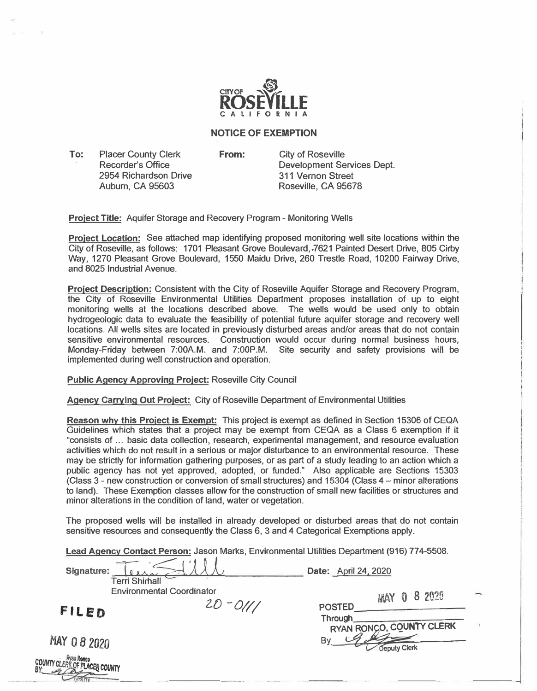

## **NOTICE OF EXEMPTION**

**To:** Placer County Clerk Recorder's Office 2954 Richardson Drive Auburn, CA 95603

COUNT

**From:** City of Roseville Development Services Dept. 311 Vernon Street Roseville, CA 95678

**Project Title:** Aquifer Storage and Recovery Program - Monitoring Wells

**Proiect Location:** See attached map identifying proposed monitoring well site locations within the City of Roseville, as follows: 1701 Pleasant Grove Boulevard, 7621 Painted Desert Drive, 805 Cirby Way, 1270 Pleasant Grove Boulevard, 1550 Maidu Drive, 260 Trestle Road, 10200 Fairway Drive, and 8025 Industrial Avenue.

**Proiect Description:** Consistent with the City of Roseville Aquifer Storage and Recovery Program, the City of Roseville Environmental Utilities Department proposes installation of up to eight monitoring wells at the locations described above. The wells would be used only to obtain hydrogeologic data to evaluate the feasibility of potential future aquifer storage and recovery well locations. AH wells sites are located in previously disturbed areas and/or areas that do not contain sensitive environmental resources. Construction would occur during normal business hours, Monday-Friday between 7:00AM. and 7:00P.M. Site security and safety provisions will be implemented during well construction and operation.

**Public Agency Approving Project:** Roseville City Council

**Agency Carrying Out Proiect: City** of Roseville Department of Environmental Utilities

**Reason why this Project is Exempt:** This project is exempt as defined in Section 15306 of CEQA Guidelines which states that a project may be exempt from CEQA as a Class 6 exemption if **it**  "consists **of ...** basic data collection, research, experimental management, and resource evaluation activities which **do not** result **in a** serious or major disturbance **to** an environmental resource. These may be strictly for information gathering purposes, or as part of a study leading to an action which a public agency has not yet approved, adopted, or funded." Also applicable are Sections 15303 (Class 3 - new construction or conversion of small structures) and 15304 (Class 4 - minor alterations to land). These Exemption classes allow for the construction of small new facilities or structures and minor alterations in the condition of land, water or vegetation.

The proposed wells **will** be installed in already developed or disturbed areas that do not contain sensitive resources and consequently the Class 6, 3 and 4 Categorical Exemptions apply.

**Lead Agency Contact Person:** Jason Marks, Environmental Utilities Department (916) 774-5508.

| Signature:<br><b>Terri Shirhall</b>            |                                                 | Date: April 24, 2020                                                                         |  |
|------------------------------------------------|-------------------------------------------------|----------------------------------------------------------------------------------------------|--|
| FILED                                          | <b>Environmental Coordinator</b><br>$20 - 0111$ | 8 2020<br>$\mathbf{0}$<br>MAY<br><b>POSTED</b><br><b>Through</b><br>RYAN RONGO, COUNTY CLERK |  |
| MAY 082020<br><b>TY CLERK OF PLACER COUNTY</b> |                                                 | B٧<br>Deputy Clerk                                                                           |  |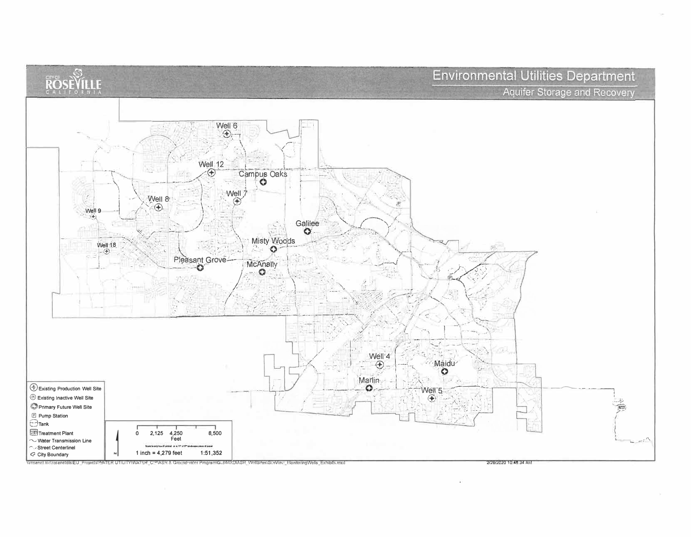